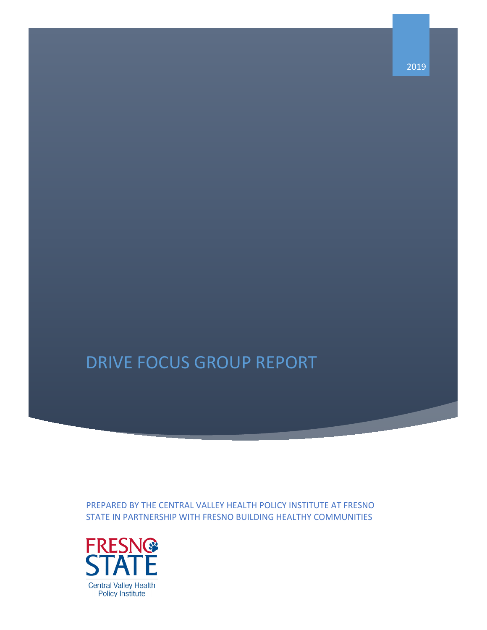# DRIVE FOCUS GROUP REPORT

PREPARED BY THE CENTRAL VALLEY HEALTH POLICY INSTITUTE AT FRESNO STATE IN PARTNERSHIP WITH FRESNO BUILDING HEALTHY COMMUNITIES



2019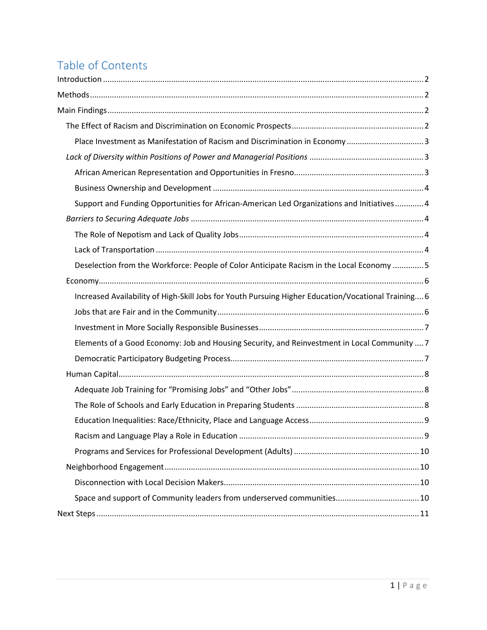## Table of Contents

| Place Investment as Manifestation of Racism and Discrimination in Economy3                          |  |
|-----------------------------------------------------------------------------------------------------|--|
|                                                                                                     |  |
|                                                                                                     |  |
|                                                                                                     |  |
| Support and Funding Opportunities for African-American Led Organizations and Initiatives 4          |  |
|                                                                                                     |  |
|                                                                                                     |  |
|                                                                                                     |  |
| Deselection from the Workforce: People of Color Anticipate Racism in the Local Economy  5           |  |
|                                                                                                     |  |
| Increased Availability of High-Skill Jobs for Youth Pursuing Higher Education/Vocational Training 6 |  |
|                                                                                                     |  |
|                                                                                                     |  |
| Elements of a Good Economy: Job and Housing Security, and Reinvestment in Local Community  7        |  |
|                                                                                                     |  |
|                                                                                                     |  |
|                                                                                                     |  |
|                                                                                                     |  |
|                                                                                                     |  |
|                                                                                                     |  |
|                                                                                                     |  |
|                                                                                                     |  |
|                                                                                                     |  |
|                                                                                                     |  |
|                                                                                                     |  |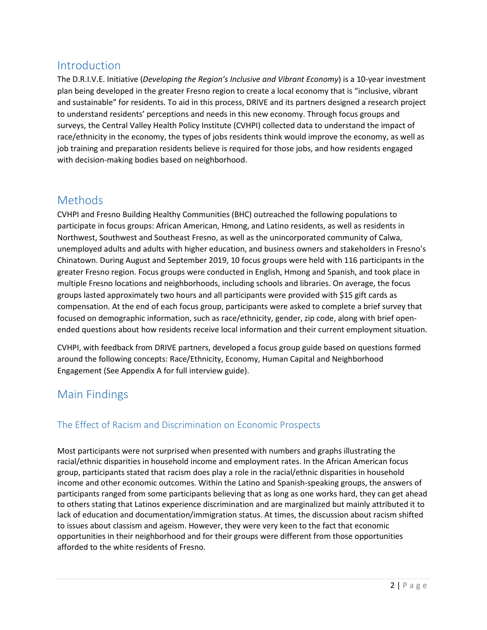### <span id="page-2-0"></span>Introduction

The D.R.I.V.E. Initiative (*Developing the Region's Inclusive and Vibrant Economy*) is a 10-year investment plan being developed in the greater Fresno region to create a local economy that is "inclusive, vibrant and sustainable" for residents. To aid in this process, DRIVE and its partners designed a research project to understand residents' perceptions and needs in this new economy. Through focus groups and surveys, the Central Valley Health Policy Institute (CVHPI) collected data to understand the impact of race/ethnicity in the economy, the types of jobs residents think would improve the economy, as well as job training and preparation residents believe is required for those jobs, and how residents engaged with decision-making bodies based on neighborhood.

### <span id="page-2-1"></span>Methods

CVHPI and Fresno Building Healthy Communities (BHC) outreached the following populations to participate in focus groups: African American, Hmong, and Latino residents, as well as residents in Northwest, Southwest and Southeast Fresno, as well as the unincorporated community of Calwa, unemployed adults and adults with higher education, and business owners and stakeholders in Fresno's Chinatown. During August and September 2019, 10 focus groups were held with 116 participants in the greater Fresno region. Focus groups were conducted in English, Hmong and Spanish, and took place in multiple Fresno locations and neighborhoods, including schools and libraries. On average, the focus groups lasted approximately two hours and all participants were provided with \$15 gift cards as compensation. At the end of each focus group, participants were asked to complete a brief survey that focused on demographic information, such as race/ethnicity, gender, zip code, along with brief openended questions about how residents receive local information and their current employment situation.

CVHPI, with feedback from DRIVE partners, developed a focus group guide based on questions formed around the following concepts: Race/Ethnicity, Economy, Human Capital and Neighborhood Engagement (See Appendix A for full interview guide).

### <span id="page-2-2"></span>Main Findings

### <span id="page-2-3"></span>The Effect of Racism and Discrimination on Economic Prospects

Most participants were not surprised when presented with numbers and graphs illustrating the racial/ethnic disparities in household income and employment rates. In the African American focus group, participants stated that racism does play a role in the racial/ethnic disparities in household income and other economic outcomes. Within the Latino and Spanish-speaking groups, the answers of participants ranged from some participants believing that as long as one works hard, they can get ahead to others stating that Latinos experience discrimination and are marginalized but mainly attributed it to lack of education and documentation/immigration status. At times, the discussion about racism shifted to issues about classism and ageism. However, they were very keen to the fact that economic opportunities in their neighborhood and for their groups were different from those opportunities afforded to the white residents of Fresno.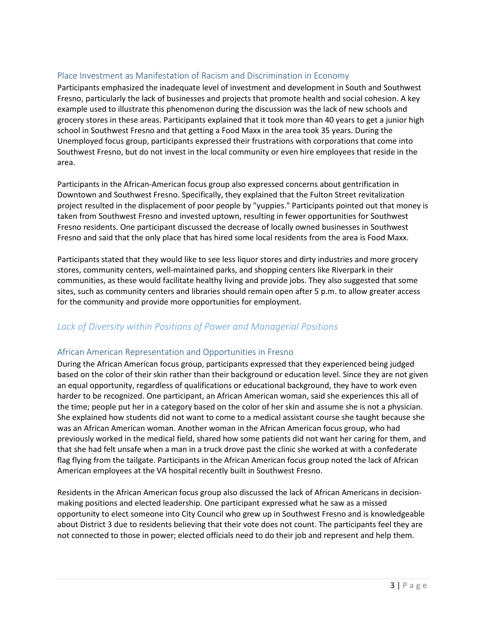#### <span id="page-3-0"></span>Place Investment as Manifestation of Racism and Discrimination in Economy

Participants emphasized the inadequate level of investment and development in South and Southwest Fresno, particularly the lack of businesses and projects that promote health and social cohesion. A key example used to illustrate this phenomenon during the discussion was the lack of new schools and grocery stores in these areas. Participants explained that it took more than 40 years to get a junior high school in Southwest Fresno and that getting a Food Maxx in the area took 35 years. During the Unemployed focus group, participants expressed their frustrations with corporations that come into Southwest Fresno, but do not invest in the local community or even hire employees that reside in the area.

Participants in the African-American focus group also expressed concerns about gentrification in Downtown and Southwest Fresno. Specifically, they explained that the Fulton Street revitalization project resulted in the displacement of poor people by "yuppies." Participants pointed out that money is taken from Southwest Fresno and invested uptown, resulting in fewer opportunities for Southwest Fresno residents. One participant discussed the decrease of locally owned businesses in Southwest Fresno and said that the only place that has hired some local residents from the area is Food Maxx.

Participants stated that they would like to see less liquor stores and dirty industries and more grocery stores, community centers, well-maintained parks, and shopping centers like Riverpark in their communities, as these would facilitate healthy living and provide jobs. They also suggested that some sites, such as community centers and libraries should remain open after 5 p.m. to allow greater access for the community and provide more opportunities for employment.

#### <span id="page-3-1"></span>*Lack of Diversity within Positions of Power and Managerial Positions*

#### <span id="page-3-2"></span>African American Representation and Opportunities in Fresno

During the African American focus group, participants expressed that they experienced being judged based on the color of their skin rather than their background or education level. Since they are not given an equal opportunity, regardless of qualifications or educational background, they have to work even harder to be recognized. One participant, an African American woman, said she experiences this all of the time; people put her in a category based on the color of her skin and assume she is not a physician. She explained how students did not want to come to a medical assistant course she taught because she was an African American woman. Another woman in the African American focus group, who had previously worked in the medical field, shared how some patients did not want her caring for them, and that she had felt unsafe when a man in a truck drove past the clinic she worked at with a confederate flag flying from the tailgate. Participants in the African American focus group noted the lack of African American employees at the VA hospital recently built in Southwest Fresno.

Residents in the African American focus group also discussed the lack of African Americans in decisionmaking positions and elected leadership. One participant expressed what he saw as a missed opportunity to elect someone into City Council who grew up in Southwest Fresno and is knowledgeable about District 3 due to residents believing that their vote does not count. The participants feel they are not connected to those in power; elected officials need to do their job and represent and help them.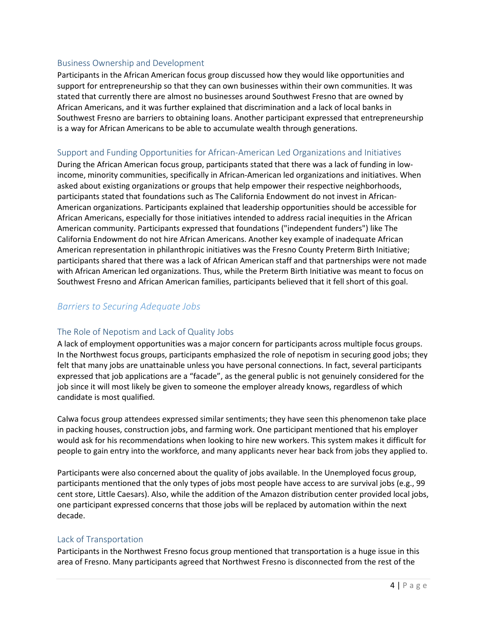#### <span id="page-4-0"></span>Business Ownership and Development

Participants in the African American focus group discussed how they would like opportunities and support for entrepreneurship so that they can own businesses within their own communities. It was stated that currently there are almost no businesses around Southwest Fresno that are owned by African Americans, and it was further explained that discrimination and a lack of local banks in Southwest Fresno are barriers to obtaining loans. Another participant expressed that entrepreneurship is a way for African Americans to be able to accumulate wealth through generations.

#### <span id="page-4-1"></span>Support and Funding Opportunities for African-American Led Organizations and Initiatives

During the African American focus group, participants stated that there was a lack of funding in lowincome, minority communities, specifically in African-American led organizations and initiatives. When asked about existing organizations or groups that help empower their respective neighborhoods, participants stated that foundations such as The California Endowment do not invest in African-American organizations. Participants explained that leadership opportunities should be accessible for African Americans, especially for those initiatives intended to address racial inequities in the African American community. Participants expressed that foundations ("independent funders") like The California Endowment do not hire African Americans. Another key example of inadequate African American representation in philanthropic initiatives was the Fresno County Preterm Birth Initiative; participants shared that there was a lack of African American staff and that partnerships were not made with African American led organizations. Thus, while the Preterm Birth Initiative was meant to focus on Southwest Fresno and African American families, participants believed that it fell short of this goal.

#### <span id="page-4-2"></span>*Barriers to Securing Adequate Jobs*

#### <span id="page-4-3"></span>The Role of Nepotism and Lack of Quality Jobs

A lack of employment opportunities was a major concern for participants across multiple focus groups. In the Northwest focus groups, participants emphasized the role of nepotism in securing good jobs; they felt that many jobs are unattainable unless you have personal connections. In fact, several participants expressed that job applications are a "facade", as the general public is not genuinely considered for the job since it will most likely be given to someone the employer already knows, regardless of which candidate is most qualified.

Calwa focus group attendees expressed similar sentiments; they have seen this phenomenon take place in packing houses, construction jobs, and farming work. One participant mentioned that his employer would ask for his recommendations when looking to hire new workers. This system makes it difficult for people to gain entry into the workforce, and many applicants never hear back from jobs they applied to.

Participants were also concerned about the quality of jobs available. In the Unemployed focus group, participants mentioned that the only types of jobs most people have access to are survival jobs (e.g., 99 cent store, Little Caesars). Also, while the addition of the Amazon distribution center provided local jobs, one participant expressed concerns that those jobs will be replaced by automation within the next decade.

#### <span id="page-4-4"></span>Lack of Transportation

Participants in the Northwest Fresno focus group mentioned that transportation is a huge issue in this area of Fresno. Many participants agreed that Northwest Fresno is disconnected from the rest of the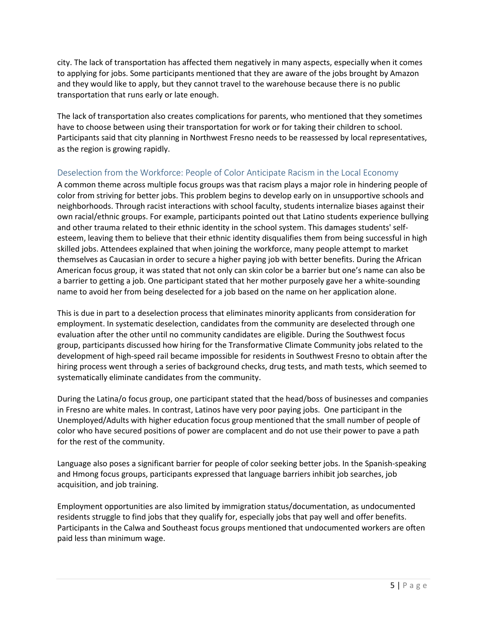city. The lack of transportation has affected them negatively in many aspects, especially when it comes to applying for jobs. Some participants mentioned that they are aware of the jobs brought by Amazon and they would like to apply, but they cannot travel to the warehouse because there is no public transportation that runs early or late enough.

The lack of transportation also creates complications for parents, who mentioned that they sometimes have to choose between using their transportation for work or for taking their children to school. Participants said that city planning in Northwest Fresno needs to be reassessed by local representatives, as the region is growing rapidly.

#### <span id="page-5-0"></span>Deselection from the Workforce: People of Color Anticipate Racism in the Local Economy

A common theme across multiple focus groups was that racism plays a major role in hindering people of color from striving for better jobs. This problem begins to develop early on in unsupportive schools and neighborhoods. Through racist interactions with school faculty, students internalize biases against their own racial/ethnic groups. For example, participants pointed out that Latino students experience bullying and other trauma related to their ethnic identity in the school system. This damages students' selfesteem, leaving them to believe that their ethnic identity disqualifies them from being successful in high skilled jobs. Attendees explained that when joining the workforce, many people attempt to market themselves as Caucasian in order to secure a higher paying job with better benefits. During the African American focus group, it was stated that not only can skin color be a barrier but one's name can also be a barrier to getting a job. One participant stated that her mother purposely gave her a white-sounding name to avoid her from being deselected for a job based on the name on her application alone.

This is due in part to a deselection process that eliminates minority applicants from consideration for employment. In systematic deselection, candidates from the community are deselected through one evaluation after the other until no community candidates are eligible. During the Southwest focus group, participants discussed how hiring for the Transformative Climate Community jobs related to the development of high-speed rail became impossible for residents in Southwest Fresno to obtain after the hiring process went through a series of background checks, drug tests, and math tests, which seemed to systematically eliminate candidates from the community.

During the Latina/o focus group, one participant stated that the head/boss of businesses and companies in Fresno are white males. In contrast, Latinos have very poor paying jobs. One participant in the Unemployed/Adults with higher education focus group mentioned that the small number of people of color who have secured positions of power are complacent and do not use their power to pave a path for the rest of the community.

Language also poses a significant barrier for people of color seeking better jobs. In the Spanish-speaking and Hmong focus groups, participants expressed that language barriers inhibit job searches, job acquisition, and job training.

Employment opportunities are also limited by immigration status/documentation, as undocumented residents struggle to find jobs that they qualify for, especially jobs that pay well and offer benefits. Participants in the Calwa and Southeast focus groups mentioned that undocumented workers are often paid less than minimum wage.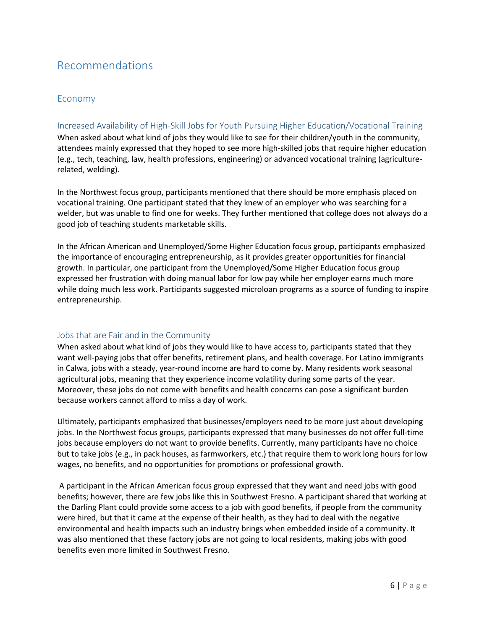### <span id="page-6-0"></span>Recommendations

#### Economy

#### <span id="page-6-1"></span>Increased Availability of High-Skill Jobs for Youth Pursuing Higher Education/Vocational Training

When asked about what kind of jobs they would like to see for their children/youth in the community, attendees mainly expressed that they hoped to see more high-skilled jobs that require higher education (e.g., tech, teaching, law, health professions, engineering) or advanced vocational training (agriculturerelated, welding).

In the Northwest focus group, participants mentioned that there should be more emphasis placed on vocational training. One participant stated that they knew of an employer who was searching for a welder, but was unable to find one for weeks. They further mentioned that college does not always do a good job of teaching students marketable skills.

In the African American and Unemployed/Some Higher Education focus group, participants emphasized the importance of encouraging entrepreneurship, as it provides greater opportunities for financial growth. In particular, one participant from the Unemployed/Some Higher Education focus group expressed her frustration with doing manual labor for low pay while her employer earns much more while doing much less work. Participants suggested microloan programs as a source of funding to inspire entrepreneurship.

#### <span id="page-6-2"></span>Jobs that are Fair and in the Community

When asked about what kind of jobs they would like to have access to, participants stated that they want well-paying jobs that offer benefits, retirement plans, and health coverage. For Latino immigrants in Calwa, jobs with a steady, year-round income are hard to come by. Many residents work seasonal agricultural jobs, meaning that they experience income volatility during some parts of the year. Moreover, these jobs do not come with benefits and health concerns can pose a significant burden because workers cannot afford to miss a day of work.

Ultimately, participants emphasized that businesses/employers need to be more just about developing jobs. In the Northwest focus groups, participants expressed that many businesses do not offer full-time jobs because employers do not want to provide benefits. Currently, many participants have no choice but to take jobs (e.g., in pack houses, as farmworkers, etc.) that require them to work long hours for low wages, no benefits, and no opportunities for promotions or professional growth.

A participant in the African American focus group expressed that they want and need jobs with good benefits; however, there are few jobs like this in Southwest Fresno. A participant shared that working at the Darling Plant could provide some access to a job with good benefits, if people from the community were hired, but that it came at the expense of their health, as they had to deal with the negative environmental and health impacts such an industry brings when embedded inside of a community. It was also mentioned that these factory jobs are not going to local residents, making jobs with good benefits even more limited in Southwest Fresno.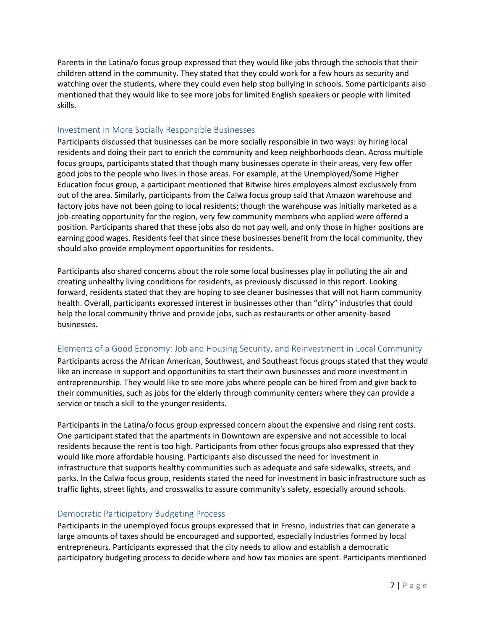Parents in the Latina/o focus group expressed that they would like jobs through the schools that their children attend in the community. They stated that they could work for a few hours as security and watching over the students, where they could even help stop bullying in schools. Some participants also mentioned that they would like to see more jobs for limited English speakers or people with limited skills.

#### <span id="page-7-0"></span>Investment in More Socially Responsible Businesses

Participants discussed that businesses can be more socially responsible in two ways: by hiring local residents and doing their part to enrich the community and keep neighborhoods clean. Across multiple focus groups, participants stated that though many businesses operate in their areas, very few offer good jobs to the people who lives in those areas. For example, at the Unemployed/Some Higher Education focus group, a participant mentioned that Bitwise hires employees almost exclusively from out of the area. Similarly, participants from the Calwa focus group said that Amazon warehouse and factory jobs have not been going to local residents; though the warehouse was initially marketed as a job-creating opportunity for the region, very few community members who applied were offered a position. Participants shared that these jobs also do not pay well, and only those in higher positions are earning good wages. Residents feel that since these businesses benefit from the local community, they should also provide employment opportunities for residents.

Participants also shared concerns about the role some local businesses play in polluting the air and creating unhealthy living conditions for residents, as previously discussed in this report. Looking forward, residents stated that they are hoping to see cleaner businesses that will not harm community health. Overall, participants expressed interest in businesses other than "dirty" industries that could help the local community thrive and provide jobs, such as restaurants or other amenity-based businesses.

#### <span id="page-7-1"></span>Elements of a Good Economy: Job and Housing Security, and Reinvestment in Local Community

Participants across the African American, Southwest, and Southeast focus groups stated that they would like an increase in support and opportunities to start their own businesses and more investment in entrepreneurship. They would like to see more jobs where people can be hired from and give back to their communities, such as jobs for the elderly through community centers where they can provide a service or teach a skill to the younger residents.

Participants in the Latina/o focus group expressed concern about the expensive and rising rent costs. One participant stated that the apartments in Downtown are expensive and not accessible to local residents because the rent is too high. Participants from other focus groups also expressed that they would like more affordable housing. Participants also discussed the need for investment in infrastructure that supports healthy communities such as adequate and safe sidewalks, streets, and parks. In the Calwa focus group, residents stated the need for investment in basic infrastructure such as traffic lights, street lights, and crosswalks to assure community's safety, especially around schools.

#### <span id="page-7-2"></span>Democratic Participatory Budgeting Process

Participants in the unemployed focus groups expressed that in Fresno, industries that can generate a large amounts of taxes should be encouraged and supported, especially industries formed by local entrepreneurs. Participants expressed that the city needs to allow and establish a democratic participatory budgeting process to decide where and how tax monies are spent. Participants mentioned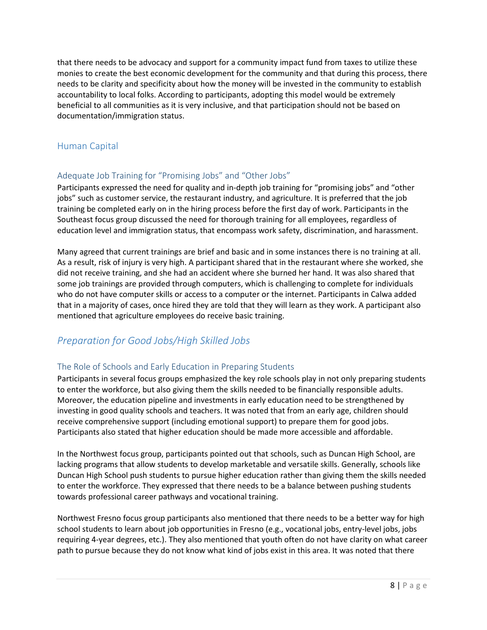that there needs to be advocacy and support for a community impact fund from taxes to utilize these monies to create the best economic development for the community and that during this process, there needs to be clarity and specificity about how the money will be invested in the community to establish accountability to local folks. According to participants, adopting this model would be extremely beneficial to all communities as it is very inclusive, and that participation should not be based on documentation/immigration status.

#### <span id="page-8-0"></span>Human Capital

#### <span id="page-8-1"></span>Adequate Job Training for "Promising Jobs" and "Other Jobs"

Participants expressed the need for quality and in-depth job training for "promising jobs" and "other jobs" such as customer service, the restaurant industry, and agriculture. It is preferred that the job training be completed early on in the hiring process before the first day of work. Participants in the Southeast focus group discussed the need for thorough training for all employees, regardless of education level and immigration status, that encompass work safety, discrimination, and harassment.

Many agreed that current trainings are brief and basic and in some instances there is no training at all. As a result, risk of injury is very high. A participant shared that in the restaurant where she worked, she did not receive training, and she had an accident where she burned her hand. It was also shared that some job trainings are provided through computers, which is challenging to complete for individuals who do not have computer skills or access to a computer or the internet. Participants in Calwa added that in a majority of cases, once hired they are told that they will learn as they work. A participant also mentioned that agriculture employees do receive basic training.

### *Preparation for Good Jobs/High Skilled Jobs*

#### <span id="page-8-2"></span>The Role of Schools and Early Education in Preparing Students

Participants in several focus groups emphasized the key role schools play in not only preparing students to enter the workforce, but also giving them the skills needed to be financially responsible adults. Moreover, the education pipeline and investments in early education need to be strengthened by investing in good quality schools and teachers. It was noted that from an early age, children should receive comprehensive support (including emotional support) to prepare them for good jobs. Participants also stated that higher education should be made more accessible and affordable.

In the Northwest focus group, participants pointed out that schools, such as Duncan High School, are lacking programs that allow students to develop marketable and versatile skills. Generally, schools like Duncan High School push students to pursue higher education rather than giving them the skills needed to enter the workforce. They expressed that there needs to be a balance between pushing students towards professional career pathways and vocational training.

Northwest Fresno focus group participants also mentioned that there needs to be a better way for high school students to learn about job opportunities in Fresno (e.g., vocational jobs, entry-level jobs, jobs requiring 4-year degrees, etc.). They also mentioned that youth often do not have clarity on what career path to pursue because they do not know what kind of jobs exist in this area. It was noted that there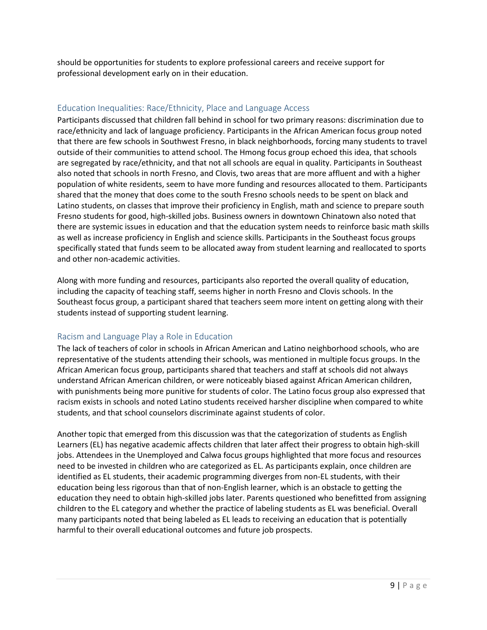should be opportunities for students to explore professional careers and receive support for professional development early on in their education.

#### <span id="page-9-0"></span>Education Inequalities: Race/Ethnicity, Place and Language Access

Participants discussed that children fall behind in school for two primary reasons: discrimination due to race/ethnicity and lack of language proficiency. Participants in the African American focus group noted that there are few schools in Southwest Fresno, in black neighborhoods, forcing many students to travel outside of their communities to attend school. The Hmong focus group echoed this idea, that schools are segregated by race/ethnicity, and that not all schools are equal in quality. Participants in Southeast also noted that schools in north Fresno, and Clovis, two areas that are more affluent and with a higher population of white residents, seem to have more funding and resources allocated to them. Participants shared that the money that does come to the south Fresno schools needs to be spent on black and Latino students, on classes that improve their proficiency in English, math and science to prepare south Fresno students for good, high-skilled jobs. Business owners in downtown Chinatown also noted that there are systemic issues in education and that the education system needs to reinforce basic math skills as well as increase proficiency in English and science skills. Participants in the Southeast focus groups specifically stated that funds seem to be allocated away from student learning and reallocated to sports and other non-academic activities.

Along with more funding and resources, participants also reported the overall quality of education, including the capacity of teaching staff, seems higher in north Fresno and Clovis schools. In the Southeast focus group, a participant shared that teachers seem more intent on getting along with their students instead of supporting student learning.

#### <span id="page-9-1"></span>Racism and Language Play a Role in Education

The lack of teachers of color in schools in African American and Latino neighborhood schools, who are representative of the students attending their schools, was mentioned in multiple focus groups. In the African American focus group, participants shared that teachers and staff at schools did not always understand African American children, or were noticeably biased against African American children, with punishments being more punitive for students of color. The Latino focus group also expressed that racism exists in schools and noted Latino students received harsher discipline when compared to white students, and that school counselors discriminate against students of color.

Another topic that emerged from this discussion was that the categorization of students as English Learners (EL) has negative academic affects children that later affect their progress to obtain high-skill jobs. Attendees in the Unemployed and Calwa focus groups highlighted that more focus and resources need to be invested in children who are categorized as EL. As participants explain, once children are identified as EL students, their academic programming diverges from non-EL students, with their education being less rigorous than that of non-English learner, which is an obstacle to getting the education they need to obtain high-skilled jobs later. Parents questioned who benefitted from assigning children to the EL category and whether the practice of labeling students as EL was beneficial. Overall many participants noted that being labeled as EL leads to receiving an education that is potentially harmful to their overall educational outcomes and future job prospects.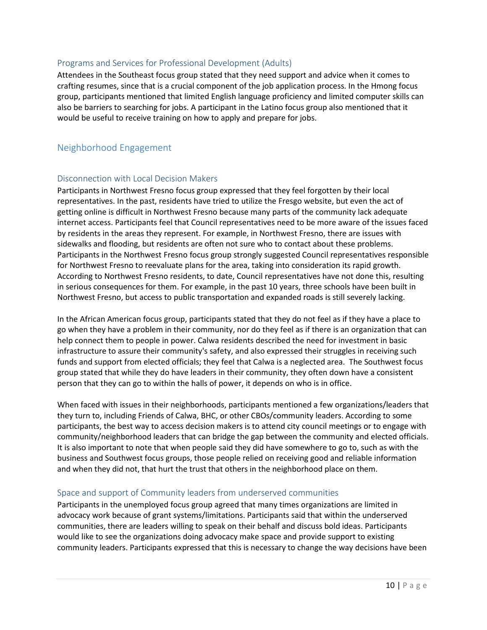#### <span id="page-10-0"></span>Programs and Services for Professional Development (Adults)

Attendees in the Southeast focus group stated that they need support and advice when it comes to crafting resumes, since that is a crucial component of the job application process. In the Hmong focus group, participants mentioned that limited English language proficiency and limited computer skills can also be barriers to searching for jobs. A participant in the Latino focus group also mentioned that it would be useful to receive training on how to apply and prepare for jobs.

#### <span id="page-10-1"></span>Neighborhood Engagement

#### <span id="page-10-2"></span>Disconnection with Local Decision Makers

Participants in Northwest Fresno focus group expressed that they feel forgotten by their local representatives. In the past, residents have tried to utilize the Fresgo website, but even the act of getting online is difficult in Northwest Fresno because many parts of the community lack adequate internet access. Participants feel that Council representatives need to be more aware of the issues faced by residents in the areas they represent. For example, in Northwest Fresno, there are issues with sidewalks and flooding, but residents are often not sure who to contact about these problems. Participants in the Northwest Fresno focus group strongly suggested Council representatives responsible for Northwest Fresno to reevaluate plans for the area, taking into consideration its rapid growth. According to Northwest Fresno residents, to date, Council representatives have not done this, resulting in serious consequences for them. For example, in the past 10 years, three schools have been built in Northwest Fresno, but access to public transportation and expanded roads is still severely lacking.

In the African American focus group, participants stated that they do not feel as if they have a place to go when they have a problem in their community, nor do they feel as if there is an organization that can help connect them to people in power. Calwa residents described the need for investment in basic infrastructure to assure their community's safety, and also expressed their struggles in receiving such funds and support from elected officials; they feel that Calwa is a neglected area. The Southwest focus group stated that while they do have leaders in their community, they often down have a consistent person that they can go to within the halls of power, it depends on who is in office.

When faced with issues in their neighborhoods, participants mentioned a few organizations/leaders that they turn to, including Friends of Calwa, BHC, or other CBOs/community leaders. According to some participants, the best way to access decision makers is to attend city council meetings or to engage with community/neighborhood leaders that can bridge the gap between the community and elected officials. It is also important to note that when people said they did have somewhere to go to, such as with the business and Southwest focus groups, those people relied on receiving good and reliable information and when they did not, that hurt the trust that others in the neighborhood place on them.

#### <span id="page-10-3"></span>Space and support of Community leaders from underserved communities

Participants in the unemployed focus group agreed that many times organizations are limited in advocacy work because of grant systems/limitations. Participants said that within the underserved communities, there are leaders willing to speak on their behalf and discuss bold ideas. Participants would like to see the organizations doing advocacy make space and provide support to existing community leaders. Participants expressed that this is necessary to change the way decisions have been